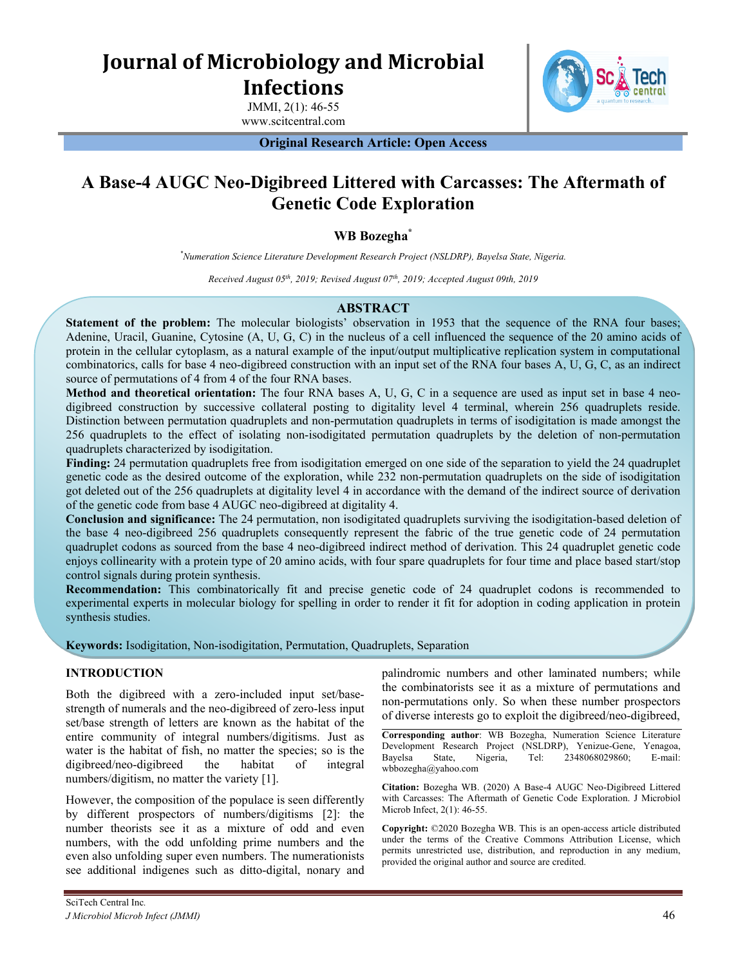# **Journal of Microbiology and Microbial Infections**

JMMI, 2(1): 46-55 www.scitcentral.com



**Original Research Article: Open Access**

## **A Base-4 AUGC Neo-Digibreed Littered with Carcasses: The Aftermath of Genetic Code Exploration**

## **WB Bozegha\***

*\*Numeration Science Literature Development Research Project (NSLDRP), Bayelsa State, Nigeria.*

*Received August 05th , 2019; Revised August 07 th , 2019; Accepted August 09th, 2019*

## **ABSTRACT**

**Statement of the problem:** The molecular biologists' observation in 1953 that the sequence of the RNA four bases; Adenine, Uracil, Guanine, Cytosine (A, U, G, C) in the nucleus of a cell influenced the sequence of the 20 amino acids of protein in the cellular cytoplasm, as a natural example of the input/output multiplicative replication system in computational combinatorics, calls for base 4 neo-digibreed construction with an input set of the RNA four bases A, U, G, C, as an indirect source of permutations of 4 from 4 of the four RNA bases.

**Method and theoretical orientation:** The four RNA bases A, U, G, C in a sequence are used as input set in base 4 neodigibreed construction by successive collateral posting to digitality level 4 terminal, wherein 256 quadruplets reside. Distinction between permutation quadruplets and non-permutation quadruplets in terms of isodigitation is made amongst the 256 quadruplets to the effect of isolating non-isodigitated permutation quadruplets by the deletion of non-permutation quadruplets characterized by isodigitation.

**Finding:** 24 permutation quadruplets free from isodigitation emerged on one side of the separation to yield the 24 quadruplet genetic code as the desired outcome of the exploration, while 232 non-permutation quadruplets on the side of isodigitation got deleted out of the 256 quadruplets at digitality level 4 in accordance with the demand of the indirect source of derivation of the genetic code from base 4 AUGC neo-digibreed at digitality 4.

**Conclusion and significance:** The 24 permutation, non isodigitated quadruplets surviving the isodigitation-based deletion of the base 4 neo-digibreed 256 quadruplets consequently represent the fabric of the true genetic code of 24 permutation quadruplet codons as sourced from the base 4 neo-digibreed indirect method of derivation. This 24 quadruplet genetic code enjoys collinearity with a protein type of 20 amino acids, with four spare quadruplets for four time and place based start/stop control signals during protein synthesis.

**Recommendation:** This combinatorically fit and precise genetic code of 24 quadruplet codons is recommended to experimental experts in molecular biology for spelling in order to render it fit for adoption in coding application in protein synthesis studies.

**Keywords:** Isodigitation, Non-isodigitation, Permutation, Quadruplets, Separation

## **INTRODUCTION**

Both the digibreed with a zero-included input set/basestrength of numerals and the neo-digibreed of zero-less input set/base strength of letters are known as the habitat of the entire community of integral numbers/digitisms. Just as water is the habitat of fish, no matter the species; so is the digibreed/neo-digibreed the habitat of integral numbers/digitism, no matter the variety [1].

However, the composition of the populace is seen differently by different prospectors of numbers/digitisms [2]: the number theorists see it as a mixture of odd and even numbers, with the odd unfolding prime numbers and the even also unfolding super even numbers. The numerationists see additional indigenes such as ditto-digital, nonary and palindromic numbers and other laminated numbers; while the combinatorists see it as a mixture of permutations and non-permutations only. So when these number prospectors of diverse interests go to exploit the digibreed/neo-digibreed,

**Corresponding author**: WB Bozegha, Numeration Science Literature Development Research Project (NSLDRP), Yenizue-Gene, Yenagoa, Bayelsa State, Nigeria, Tel: 2348068029860; E-mail: wbbozegha@yahoo.com

**Citation:** Bozegha WB. (2020) A Base-4 AUGC Neo-Digibreed Littered with Carcasses: The Aftermath of Genetic Code Exploration. J Microbiol Microb Infect, 2(1): 46-55.

**Copyright:** ©2020 Bozegha WB. This is an open-access article distributed under the terms of the Creative Commons Attribution License, which permits unrestricted use, distribution, and reproduction in any medium, provided the original author and source are credited.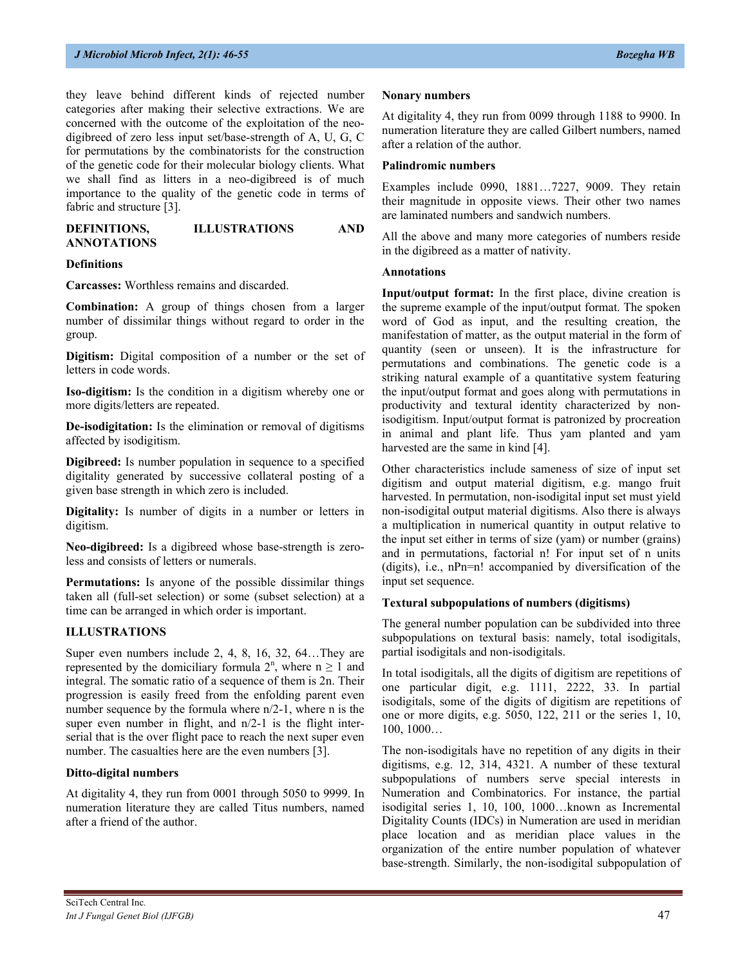they leave behind different kinds of rejected number categories after making their selective extractions. We are concerned with the outcome of the exploitation of the neodigibreed of zero less input set/base-strength of A, U, G, C for permutations by the combinatorists for the construction of the genetic code for their molecular biology clients. What we shall find as litters in a neo-digibreed is of much importance to the quality of the genetic code in terms of fabric and structure [3].

| DEFINITIONS,       | <b>ILLUSTRATIONS</b> | <b>AND</b> |
|--------------------|----------------------|------------|
| <b>ANNOTATIONS</b> |                      |            |

#### **Definitions**

**Carcasses:** Worthless remains and discarded.

**Combination:** A group of things chosen from a larger number of dissimilar things without regard to order in the group.

**Digitism:** Digital composition of a number or the set of letters in code words.

**Iso-digitism:** Is the condition in a digitism whereby one or more digits/letters are repeated.

**De-isodigitation:** Is the elimination or removal of digitisms affected by isodigitism.

**Digibreed:** Is number population in sequence to a specified digitality generated by successive collateral posting of a given base strength in which zero is included.

**Digitality:** Is number of digits in a number or letters in digitism.

**Neo-digibreed:** Is a digibreed whose base-strength is zeroless and consists of letters or numerals.

**Permutations:** Is anyone of the possible dissimilar things taken all (full-set selection) or some (subset selection) at a time can be arranged in which order is important.

#### **ILLUSTRATIONS**

Super even numbers include 2, 4, 8, 16, 32, 64…They are represented by the domiciliary formula  $2^n$ , where  $n \ge 1$  and integral. The somatic ratio of a sequence of them is 2n. Their progression is easily freed from the enfolding parent even number sequence by the formula where  $n/2-1$ , where n is the super even number in flight, and  $n/2-1$  is the flight interserial that is the over flight pace to reach the next super even number. The casualties here are the even numbers [3].

#### **Ditto-digital numbers**

At digitality 4, they run from 0001 through 5050 to 9999. In numeration literature they are called Titus numbers, named after a friend of the author.

#### **Nonary numbers**

At digitality 4, they run from 0099 through 1188 to 9900. In numeration literature they are called Gilbert numbers, named after a relation of the author.

## **Palindromic numbers**

Examples include 0990, 1881…7227, 9009. They retain their magnitude in opposite views. Their other two names are laminated numbers and sandwich numbers.

All the above and many more categories of numbers reside in the digibreed as a matter of nativity.

#### **Annotations**

**Input/output format:** In the first place, divine creation is the supreme example of the input/output format. The spoken word of God as input, and the resulting creation, the manifestation of matter, as the output material in the form of quantity (seen or unseen). It is the infrastructure for permutations and combinations. The genetic code is a striking natural example of a quantitative system featuring the input/output format and goes along with permutations in productivity and textural identity characterized by nonisodigitism. Input/output format is patronized by procreation in animal and plant life. Thus yam planted and yam harvested are the same in kind [4].

Other characteristics include sameness of size of input set digitism and output material digitism, e.g. mango fruit harvested. In permutation, non-isodigital input set must yield non-isodigital output material digitisms. Also there is always a multiplication in numerical quantity in output relative to the input set either in terms of size (yam) or number (grains) and in permutations, factorial n! For input set of n units (digits), i.e., nPn=n! accompanied by diversification of the input set sequence.

## **Textural subpopulations of numbers (digitisms)**

The general number population can be subdivided into three subpopulations on textural basis: namely, total isodigitals, partial isodigitals and non-isodigitals.

In total isodigitals, all the digits of digitism are repetitions of one particular digit, e.g. 1111, 2222, 33. In partial isodigitals, some of the digits of digitism are repetitions of one or more digits, e.g. 5050, 122, 211 or the series 1, 10, 100, 1000…

The non-isodigitals have no repetition of any digits in their digitisms, e.g. 12, 314, 4321. A number of these textural subpopulations of numbers serve special interests in Numeration and Combinatorics. For instance, the partial isodigital series 1, 10, 100, 1000…known as Incremental Digitality Counts (IDCs) in Numeration are used in meridian place location and as meridian place values in the organization of the entire number population of whatever base-strength. Similarly, the non-isodigital subpopulation of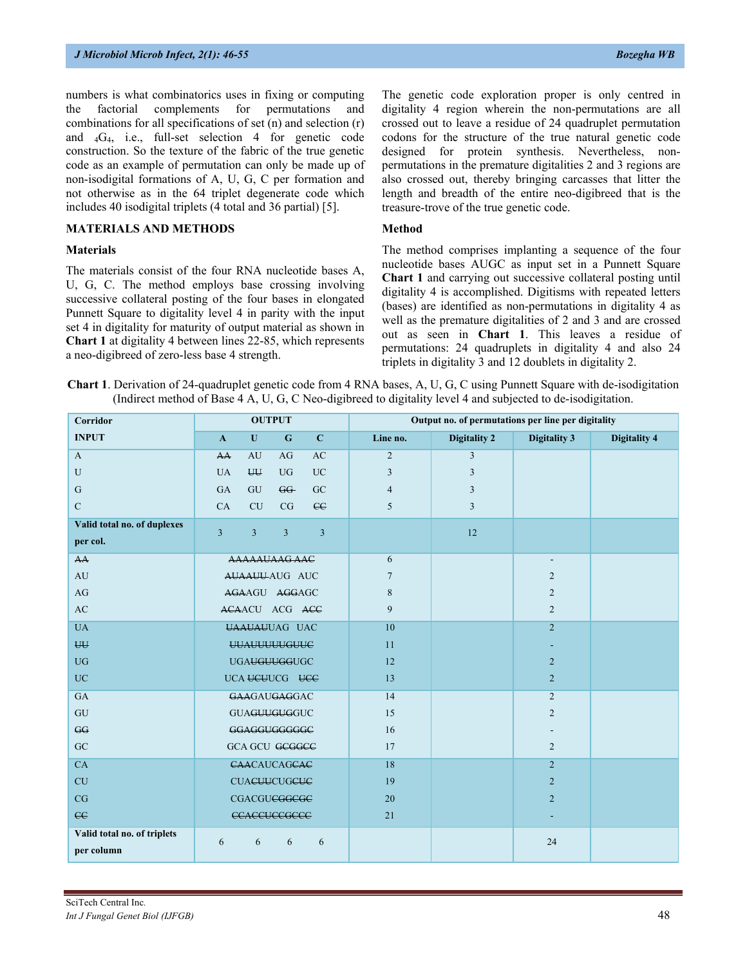numbers is what combinatorics uses in fixing or computing the factorial complements for permutations and combinations for all specifications of set (n) and selection (r) and  $_4G_4$ , i.e., full-set selection 4 for genetic code construction. So the texture of the fabric of the true genetic code as an example of permutation can only be made up of non-isodigital formations of A, U, G, C per formation and not otherwise as in the 64 triplet degenerate code which includes 40 isodigital triplets (4 total and 36 partial) [5].

## **MATERIALS AND METHODS**

#### **Materials**

The materials consist of the four RNA nucleotide bases A, U, G, C. The method employs base crossing involving successive collateral posting of the four bases in elongated Punnett Square to digitality level 4 in parity with the input set 4 in digitality for maturity of output material as shown in **Chart 1** at digitality 4 between lines 22-85, which represents a neo-digibreed of zero-less base 4 strength.

The genetic code exploration proper is only centred in digitality 4 region wherein the non-permutations are all crossed out to leave a residue of 24 quadruplet permutation codons for the structure of the true natural genetic code designed for protein synthesis. Nevertheless, nonpermutations in the premature digitalities 2 and 3 regions are also crossed out, thereby bringing carcasses that litter the length and breadth of the entire neo-digibreed that is the treasure-trove of the true genetic code.

## **Method**

The method comprises implanting a sequence of the four nucleotide bases AUGC as input set in a Punnett Square **Chart 1** and carrying out successive collateral posting until digitality 4 is accomplished. Digitisms with repeated letters (bases) are identified as non-permutations in digitality 4 as well as the premature digitalities of 2 and 3 and are crossed out as seen in **Chart 1**. This leaves a residue of permutations: 24 quadruplets in digitality 4 and also 24 triplets in digitality 3 and 12 doublets in digitality 2.

|  | <b>Chart 1</b> . Derivation of 24-quadruplet genetic code from 4 RNA bases, A, U, G, C using Punnett Square with de-isodigitation |  |  |  |  |  |
|--|-----------------------------------------------------------------------------------------------------------------------------------|--|--|--|--|--|
|  | (Indirect method of Base 4 A, U, G, C Neo-digibreed to digitality level 4 and subjected to de-isodigitation.                      |  |  |  |  |  |

| Corridor                    |                |                | <b>OUTPUT</b>                  |                |                | Output no. of permutations per line per digitality |                          |                     |
|-----------------------------|----------------|----------------|--------------------------------|----------------|----------------|----------------------------------------------------|--------------------------|---------------------|
| <b>INPUT</b>                | $\mathbf{A}$   | $\mathbf{U}$   | $\mathbf G$                    | $\mathbf{C}$   | Line no.       | <b>Digitality 2</b>                                | <b>Digitality 3</b>      | <b>Digitality 4</b> |
| $\mathbf{A}$                | AA             | AU             | AG                             | AC             | $\overline{2}$ | 3                                                  |                          |                     |
| U                           | <b>UA</b>      | <b>UU</b>      | <b>UG</b>                      | <b>UC</b>      | 3              | 3                                                  |                          |                     |
| $\mathbf G$                 | GA             | GU             | GG                             | GC             | $\overline{4}$ | 3                                                  |                          |                     |
| $\mathbf C$                 | CA             | CU             | CG                             | cc             | 5              | 3                                                  |                          |                     |
| Valid total no. of duplexes | $\overline{3}$ | $\overline{3}$ | $\overline{3}$                 | $\overline{3}$ |                | 12                                                 |                          |                     |
| per col.                    |                |                |                                |                |                |                                                    |                          |                     |
| AA                          |                |                | AAAAAUAAG AAC                  |                | 6              |                                                    | $\overline{\phantom{a}}$ |                     |
| AU                          |                |                | AUAAUU-AUG AUC                 |                | $\overline{7}$ |                                                    | $\overline{2}$           |                     |
| AG                          |                |                | AGAAGU AGGAGC                  |                | 8              |                                                    | $\overline{2}$           |                     |
| AC                          |                |                | ACAACU ACG ACC                 |                | 9              |                                                    | $\overline{2}$           |                     |
| <b>UA</b>                   |                |                | <b>UAAUAUUAG UAC</b>           |                | 10             |                                                    | $\overline{2}$           |                     |
| <b>UU</b>                   |                |                | <b>UUAUUUUUGUUC</b>            |                | 11             |                                                    |                          |                     |
| <b>UG</b>                   |                |                | <b>UGA<del>UGUUGG</del>UGC</b> |                | 12             |                                                    | $\overline{2}$           |                     |
| <b>UC</b>                   |                |                | UCA UCUUCG UCC                 |                | 13             |                                                    | $\overline{2}$           |                     |
| GA                          |                |                | <b>GAAGAUGAGGAC</b>            |                | 14             |                                                    | 2                        |                     |
| GU                          |                |                | GUAGUUGUGGUC                   |                | 15             |                                                    | $\overline{2}$           |                     |
| GG                          |                |                | GGAGGUGGGGGC                   |                | 16             |                                                    |                          |                     |
| ${\rm GC}$                  |                |                | <b>GCA GCU GCGGCC</b>          |                | 17             |                                                    | 2                        |                     |
| CA                          |                |                | CAACAUCAGCAC                   |                | 18             |                                                    | $\overline{2}$           |                     |
| CU                          |                |                | <b>CUACUUCUGCUC</b>            |                | 19             |                                                    | $\overline{2}$           |                     |
| CG                          |                |                | CGACGU <del>CGGCGC</del>       |                | 20             |                                                    | $\overline{2}$           |                     |
| $_{\rm CC}$                 |                |                | <b>CCACCUCCGCCC</b>            |                | 21             |                                                    |                          |                     |
| Valid total no. of triplets | 6              | 6              | 6                              | 6              |                |                                                    | 24                       |                     |
| per column                  |                |                |                                |                |                |                                                    |                          |                     |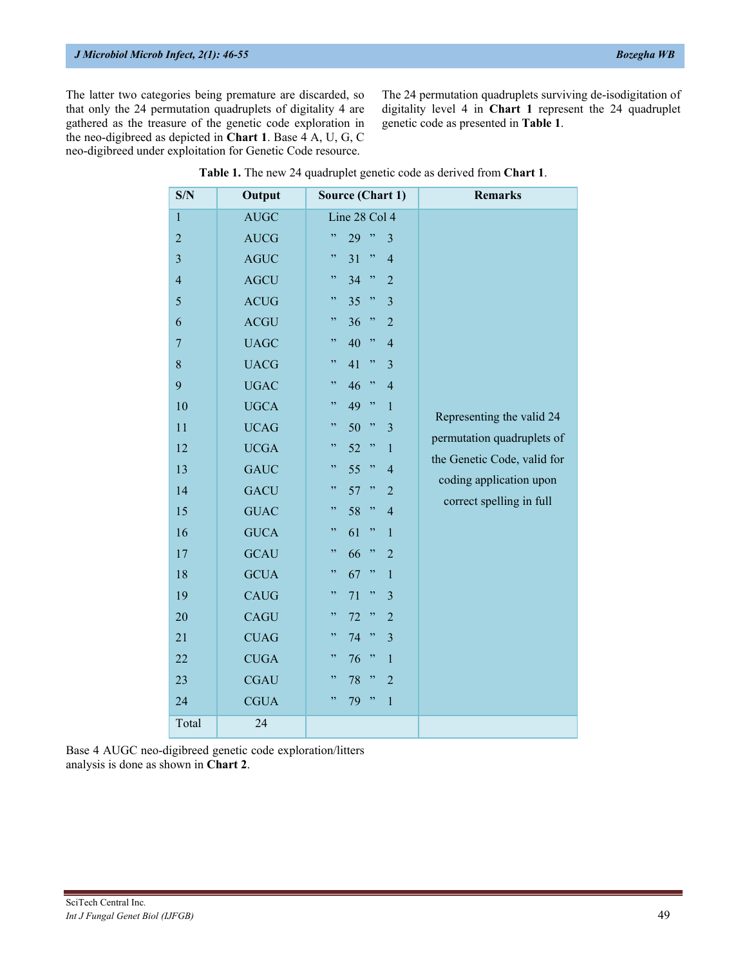## *J Microbiol Microb Infect, 2(1): 46-55 Bozegha WB*

The latter two categories being premature are discarded, so that only the 24 permutation quadruplets of digitality 4 are gathered as the treasure of the genetic code exploration in the neo-digibreed as depicted in **Chart 1**. Base 4 A, U, G, C neo-digibreed under exploitation for Genetic Code resource.

The 24 permutation quadruplets surviving de-isodigitation of digitality level 4 in **Chart 1** represent the 24 quadruplet genetic code as presented in **Table 1**.

| S/N                     | Output      | <b>Source (Chart 1)</b>           | <b>Remarks</b>              |
|-------------------------|-------------|-----------------------------------|-----------------------------|
| $\mathbf{1}$            | <b>AUGC</b> | Line 28 Col 4                     |                             |
| $\overline{c}$          | <b>AUCG</b> | ,<br>29<br>,<br>3                 |                             |
| $\overline{\mathbf{3}}$ | <b>AGUC</b> | ,<br>31<br>,<br>$\overline{4}$    |                             |
| $\overline{4}$          | <b>AGCU</b> | ,<br>, ,<br>34<br>$\overline{2}$  |                             |
| 5                       | <b>ACUG</b> | ,<br>35<br>,<br>$\overline{3}$    |                             |
| 6                       | <b>ACGU</b> | ,,<br>36<br>,<br>$\overline{2}$   |                             |
| $\overline{7}$          | <b>UAGC</b> | ,,<br>40<br>,<br>$\overline{4}$   |                             |
| 8                       | <b>UACG</b> | ,<br>41<br>,<br>$\overline{3}$    |                             |
| 9                       | <b>UGAC</b> | ,<br>46<br>,<br>$\overline{4}$    |                             |
| 10                      | <b>UGCA</b> | 49<br>,,<br>, ,<br>$\mathbf{1}$   |                             |
| 11                      | <b>UCAG</b> | ,,<br>50<br>,<br>$\overline{3}$   | Representing the valid 24   |
| 12                      | <b>UCGA</b> | ,<br>52<br>,<br>$\mathbf{1}$      | permutation quadruplets of  |
| 13                      | <b>GAUC</b> | ,,<br>55<br>,<br>$\overline{4}$   | the Genetic Code, valid for |
| 14                      | <b>GACU</b> | ,,<br>57<br>,<br>$\overline{2}$   | coding application upon     |
| 15                      | <b>GUAC</b> | 58<br>,,<br>,<br>$\overline{4}$   | correct spelling in full    |
| 16                      | <b>GUCA</b> | ,,<br>,<br>61<br>$\mathbf{1}$     |                             |
| 17                      | <b>GCAU</b> | ,<br>66<br>,<br>$\overline{2}$    |                             |
| 18                      | <b>GCUA</b> | ,,<br>67<br>, ,<br>$\overline{1}$ |                             |
| 19                      | <b>CAUG</b> | ,,<br>71<br>,<br>3                |                             |
| 20                      | CAGU        | ,,<br>72<br>,<br>$\overline{2}$   |                             |
| 21                      | <b>CUAG</b> | ,,<br>74<br>,<br>$\overline{3}$   |                             |
| 22                      | <b>CUGA</b> | ,,<br>76<br>, ,<br>$\mathbf{1}$   |                             |
| 23                      | <b>CGAU</b> | ,,<br>78<br>,<br>$\overline{2}$   |                             |
| 24                      | <b>CGUA</b> | ,,<br>,<br>79<br>$\mathbf{1}$     |                             |
| Total                   | 24          |                                   |                             |

| Table 1. The new 24 quadruplet genetic code as derived from Chart 1. |  |  |  |  |
|----------------------------------------------------------------------|--|--|--|--|
|----------------------------------------------------------------------|--|--|--|--|

Base 4 AUGC neo-digibreed genetic code exploration/litters analysis is done as shown in **Chart 2**.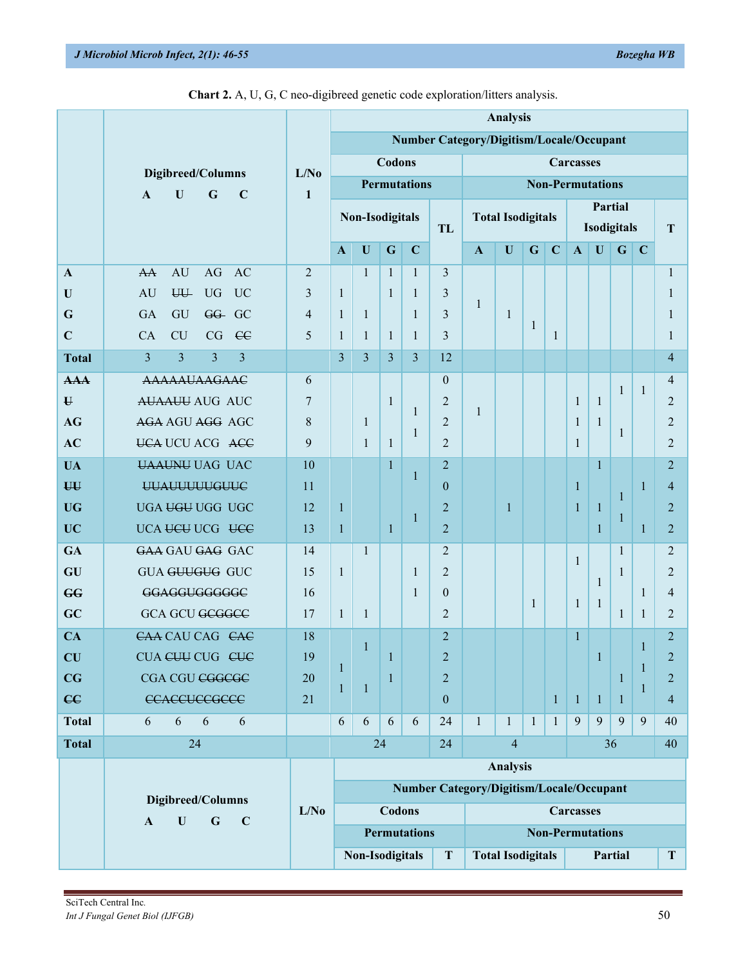|                                   |                                                                                |                                                |                   |                 |              |                     |                  |                                                 | <b>Analysis</b>          |              |              |                  |              |                    |              |                |
|-----------------------------------|--------------------------------------------------------------------------------|------------------------------------------------|-------------------|-----------------|--------------|---------------------|------------------|-------------------------------------------------|--------------------------|--------------|--------------|------------------|--------------|--------------------|--------------|----------------|
|                                   |                                                                                |                                                |                   |                 |              |                     |                  | <b>Number Category/Digitism/Locale/Occupant</b> |                          |              |              |                  |              |                    |              |                |
|                                   |                                                                                |                                                |                   |                 | Codons       |                     |                  |                                                 |                          |              |              | <b>Carcasses</b> |              |                    |              |                |
|                                   | Digibreed/Columns<br>$\mathbf G$<br>$\mathbf U$<br>$\mathbf C$<br>$\mathbf{A}$ | L/No<br>$\mathbf{1}$                           |                   |                 |              | <b>Permutations</b> |                  | <b>Non-Permutations</b>                         |                          |              |              |                  |              |                    |              |                |
|                                   |                                                                                |                                                | Non-Isodigitals   |                 |              |                     |                  | Partial<br><b>Total Isodigitals</b>             |                          |              |              |                  |              |                    |              |                |
|                                   |                                                                                |                                                |                   |                 |              |                     | TL               |                                                 |                          |              |              |                  |              | <b>Isodigitals</b> |              | T              |
|                                   |                                                                                |                                                | $\mathbf{A}$      | $\mathbf{U}$    | $\mathbf G$  | $\mathbf C$         |                  | $\mathbf{A}$                                    | $\mathbf U$              | $\mathbf G$  | $\mathbf C$  | $\mathbf{A}$     | $\mathbf U$  | $\mathbf G$        | $\mathbf C$  |                |
| $\mathbf{A}$                      | AU<br>AG<br>AC<br>AA                                                           | $\overline{2}$                                 |                   | $\mathbf{1}$    | $\mathbf{1}$ | $\mathbf{1}$        | 3                |                                                 |                          |              |              |                  |              |                    |              | $\mathbf{1}$   |
| U                                 | <b>UU</b><br><b>UG</b><br><b>UC</b><br><b>AU</b>                               | 3                                              | $\mathbf{1}$      |                 | $\mathbf{1}$ | $\mathbf{1}$        | 3                | $\mathbf{1}$                                    |                          |              |              |                  |              |                    |              | 1              |
| G                                 | <b>GA</b><br>GU<br>GG- GC                                                      | $\overline{4}$                                 | $\mathbf{1}$      | $\mathbf{1}$    |              | $\mathbf{1}$        | 3                |                                                 | $\mathbf{1}$             | 1            |              |                  |              |                    |              | 1              |
| $\mathbf C$                       | <b>CU</b><br>CG<br>$\epsilon$<br>CA                                            | 5                                              | $\mathbf{1}$      | $\mathbf{1}$    | $\mathbf{1}$ | 1                   | 3                |                                                 |                          |              | 1            |                  |              |                    |              | 1              |
| <b>Total</b>                      | $\overline{3}$<br>$\overline{3}$<br>$\overline{3}$<br>$\overline{3}$           |                                                | $\overline{3}$    | $\overline{3}$  | 3            | 3                   | 12               |                                                 |                          |              |              |                  |              |                    |              | $\overline{4}$ |
| AA                                | <b>AAAAAUAAGAAC</b>                                                            | 6                                              |                   |                 |              |                     | $\theta$         |                                                 |                          |              |              |                  |              | $\mathbf{1}$       | $\mathbf{1}$ | $\overline{4}$ |
| $\mathbf{U}$                      | <b>AUAAUU AUG AUC</b>                                                          | 7                                              |                   |                 | $\mathbf{1}$ | $\mathbf{1}$        | $\overline{2}$   | 1                                               |                          |              |              | $\mathbf{1}$     | $\mathbf{1}$ |                    |              | $\overline{2}$ |
| <b>AG</b>                         | AGA AGU AGG AGC                                                                | 8                                              |                   | $\mathbf{1}$    |              | $\mathbf{1}$        | $\overline{2}$   |                                                 |                          |              |              | 1                | $\mathbf{1}$ | 1                  |              | $\overline{2}$ |
| AC                                | <b>UCA UCU ACG ACC</b>                                                         | 9                                              |                   | $\mathbf{1}$    | $\mathbf{1}$ |                     | $\overline{2}$   |                                                 |                          |              |              | $\mathbf{1}$     |              |                    |              | $\overline{2}$ |
| <b>UA</b>                         | <b>UAAUNU UAG UAC</b>                                                          | 10                                             |                   |                 | $\mathbf{1}$ | $\mathbf{1}$        | $\overline{2}$   |                                                 |                          |              |              |                  | $\mathbf{1}$ |                    |              | $\overline{2}$ |
| <b>UU</b>                         | <b>UUAUUUUUGUUC</b>                                                            | 11                                             |                   |                 |              |                     | $\overline{0}$   |                                                 |                          |              |              | $\mathbf{1}$     |              | $\mathbf{1}$       | 1            | $\overline{4}$ |
| <b>UG</b>                         | UGA UGU UGG UGC                                                                | 12                                             | $\mathbf{1}$      |                 |              | $\mathbf{1}$        | $\overline{2}$   |                                                 | $\mathbf{1}$             |              |              | $\mathbf{1}$     | $\mathbf{1}$ | 1                  |              | $\overline{2}$ |
| <b>UC</b>                         | UCA UCU UCG UCC                                                                | 13                                             | 1                 |                 | $\mathbf{1}$ |                     | $\overline{2}$   |                                                 |                          |              |              |                  | $\mathbf{1}$ |                    | $\mathbf{1}$ | $\overline{c}$ |
| GA                                | GAA GAU GAG GAC                                                                | 14                                             |                   | $\mathbf{1}$    |              |                     | $\overline{2}$   |                                                 |                          |              |              | $\mathbf{1}$     |              | $\mathbf{1}$       |              | $\overline{2}$ |
| GU                                | <b>GUA GUUGUG GUC</b>                                                          | 15                                             | $\mathbf{1}$      |                 |              | $\mathbf{1}$        | $\overline{2}$   |                                                 |                          |              |              |                  | $\mathbf{1}$ | $\mathbf{1}$       |              | $\overline{2}$ |
| GG                                | GGAGGUGGGGGC                                                                   | 16                                             |                   |                 |              | $\mathbf{1}$        | $\boldsymbol{0}$ |                                                 |                          | $\mathbf{1}$ |              | 1                | $\mathbf{1}$ |                    | 1            | $\overline{4}$ |
| GC                                | <b>GCA GCU GCGGCC</b>                                                          | 17                                             | 1                 | $\mathbf{1}$    |              |                     | $\overline{2}$   |                                                 |                          |              |              |                  |              | $\mathbf{1}$       | $\mathbf{1}$ | $\overline{2}$ |
| CA                                | CAA CAU CAG CAC                                                                | 18                                             |                   |                 |              |                     | $\overline{2}$   |                                                 |                          |              |              | $\mathbf{1}$     |              |                    |              | $\overline{2}$ |
| $\mathbf{C}\mathbf{U}$            | CUA CUU CUG CUC                                                                | 19                                             |                   | $\mathbf{1}$    | $\mathbf{1}$ |                     | 2                |                                                 |                          |              |              |                  | $\mathbf{1}$ |                    | $\mathbf{1}$ | 2              |
| $\overline{\mathbf{C}\mathbf{G}}$ | CGA CGU CGGCGC                                                                 | 20                                             | $\mathbf{1}$<br>1 | $\mathbf 1$     | 1            |                     | $\overline{2}$   |                                                 |                          |              |              |                  |              | $\mathbf{1}$       | $\mathbf{1}$ | $\overline{2}$ |
| $\epsilon$                        | <b>CCACCUCCGCCC</b>                                                            | 21                                             |                   |                 |              |                     | $\boldsymbol{0}$ |                                                 |                          |              | $\mathbf{1}$ | $\mathbf{1}$     | $\mathbf{1}$ | $\mathbf{1}$       | $\mathbf{1}$ | $\overline{4}$ |
| <b>Total</b>                      | 6<br>6<br>6<br>6                                                               |                                                | 6                 | 6               | 6            | 6                   | 24               | $\mathbf{1}$                                    | $\mathbf{1}$             | $\mathbf{1}$ | $\mathbf{1}$ | 9                | 9            | 9                  | 9            | 40             |
| <b>Total</b>                      | 24                                                                             |                                                |                   | 24              |              |                     | 24               |                                                 | $\overline{4}$           |              |              |                  |              | 36                 |              | 40             |
|                                   |                                                                                |                                                |                   |                 |              |                     |                  |                                                 | <b>Analysis</b>          |              |              |                  |              |                    |              |                |
|                                   | Digibreed/Columns                                                              |                                                |                   |                 |              |                     |                  | <b>Number Category/Digitism/Locale/Occupant</b> |                          |              |              |                  |              |                    |              |                |
|                                   | $\mathbf G$<br>$\mathbf U$<br>$\mathbf{A}$<br>$\mathbf C$                      | Codons<br>L/No<br><b>Carcasses</b>             |                   |                 |              |                     |                  |                                                 |                          |              |              |                  |              |                    |              |                |
|                                   |                                                                                | <b>Permutations</b><br><b>Non-Permutations</b> |                   |                 |              |                     |                  |                                                 |                          |              |              |                  |              |                    |              |                |
|                                   |                                                                                |                                                |                   | Non-Isodigitals |              |                     | $\mathbf T$      |                                                 | <b>Total Isodigitals</b> |              |              |                  |              | Partial            |              | T              |

|  | Chart 2. A, U, G, C neo-digibreed genetic code exploration/litters analysis. |  |
|--|------------------------------------------------------------------------------|--|
|  |                                                                              |  |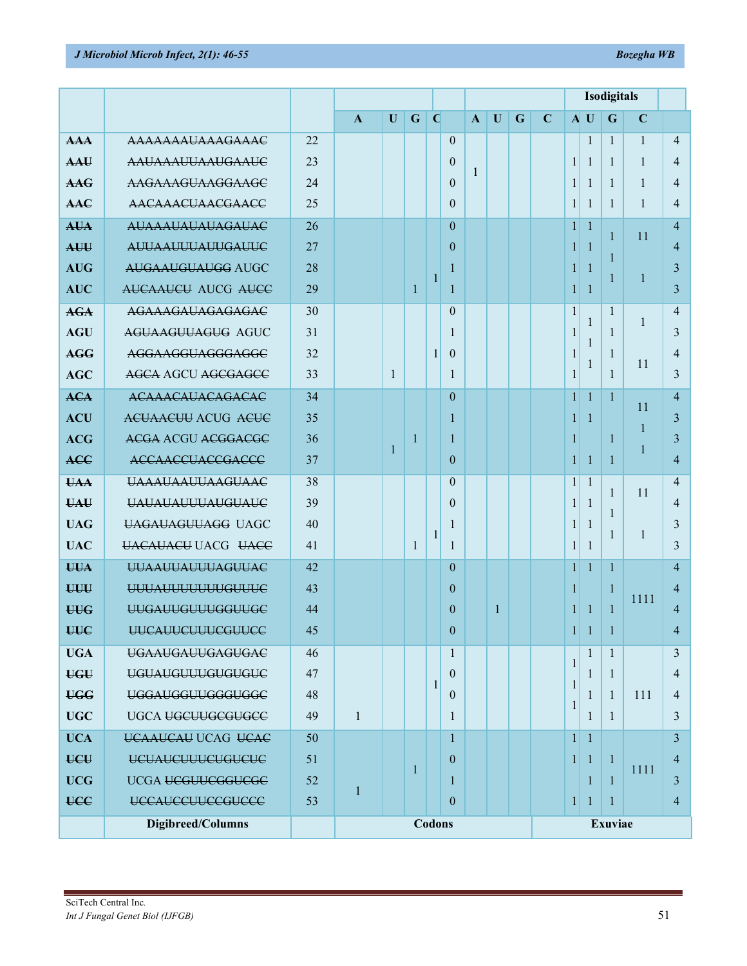|            |                           |    |              |              |              |              |              |              |              |   |             |                | Isodigitals  |                |              |                |  |  |
|------------|---------------------------|----|--------------|--------------|--------------|--------------|--------------|--------------|--------------|---|-------------|----------------|--------------|----------------|--------------|----------------|--|--|
|            |                           |    | $\mathbf{A}$ | $\mathbf{U}$ | $\mathbf G$  | $\mathbf C$  |              | $\mathbf{A}$ | $\mathbf U$  | G | $\mathbf C$ |                | A U          | G              | $\mathbf C$  |                |  |  |
| AA         | AAAAAAAUAAAGAAAC          | 22 |              |              |              |              | $\theta$     |              |              |   |             |                | 1            | $\mathbf{1}$   | $\mathbf{1}$ | 4              |  |  |
| AAU        | <b>AAUAAAUUAAUGAAUC</b>   | 23 |              |              |              |              | $\theta$     | 1            |              |   |             | $\mathbf{1}$   | 1            | $\mathbf{1}$   | 1            | 4              |  |  |
| <b>AAG</b> | AAGAAAGUAAGGAAGC          | 24 |              |              |              |              | $\theta$     |              |              |   |             | $\mathbf{1}$   | 1            | $\mathbf{1}$   | $\mathbf{1}$ | 4              |  |  |
| AAC        | AACAAACUAACGAACC          | 25 |              |              |              |              | $\theta$     |              |              |   |             | 1 <sup>1</sup> | 1            | $\mathbf{1}$   | $\mathbf{1}$ | 4              |  |  |
| <b>AUA</b> | <b>AUAAAUAUAUAGAUAC</b>   | 26 |              |              |              |              | $\theta$     |              |              |   |             | $\mathbf{1}$   | $\mathbf{1}$ | 1              | 11           | 4              |  |  |
| AUU        | <b>AUUAAUUUAUUGAUUC</b>   | 27 |              |              |              |              | $\theta$     |              |              |   |             | 1              | 1            | 1              |              | 4              |  |  |
| <b>AUG</b> | AUGAAUGUAUGG AUGC         | 28 |              |              |              |              |              |              |              |   |             | 1              | 1            | 1              | 1            | 3              |  |  |
| <b>AUC</b> | <b>AUCAAUCU AUCG AUCC</b> | 29 |              |              | $\mathbf{1}$ |              | 1            |              |              |   |             | $\mathbf{1}$   | 1            |                |              | 3              |  |  |
| <b>AGA</b> | AGAAAGAUAGAGAGAC          | 30 |              |              |              |              | $\theta$     |              |              |   |             | $\mathbf{1}$   | 1            | 1              | 1            | 4              |  |  |
| <b>AGU</b> | AGUAAGUUAGUG AGUC         | 31 |              |              |              |              | 1            |              |              |   |             | 1              | 1            | 1              |              | 3              |  |  |
| <b>AGG</b> | AGGAAGGUAGGGAGGC          | 32 |              |              |              | 1            | $\theta$     |              |              |   |             | 1              | 1            | 1              | 11           | 4              |  |  |
| <b>AGC</b> | AGCA AGCU AGCGAGCC        | 33 |              | $\mathbf{1}$ |              |              | 1            |              |              |   |             | 1              |              | $\mathbf{1}$   |              | 3              |  |  |
| <b>ACA</b> | <b>ACAAACAUACAGACAC</b>   | 34 |              |              |              |              | $\theta$     |              |              |   |             | $\mathbf{1}$   | $\mathbf{1}$ | $\mathbf{1}$   | 11           | $\overline{4}$ |  |  |
| <b>ACU</b> | ACUAACUU ACUG ACUC        | 35 |              |              |              |              | 1            |              |              |   |             | 1              | 1            |                | 1            | 3              |  |  |
| <b>ACG</b> | ACGA ACGU ACGGACGC        | 36 |              | 1            | $\mathbf{1}$ |              | 1            |              |              |   |             | 1              |              | $\mathbf{1}$   | 1            | 3              |  |  |
| <b>ACC</b> | <b>ACCAACCUACCGACCC</b>   | 37 |              |              |              |              | $\theta$     |              |              |   |             | 1 <sup>1</sup> | $\mathbf{1}$ | -1             |              | 4              |  |  |
| <b>UAA</b> | <b>UAAAUAAUUAAGUAAC</b>   | 38 |              |              |              |              | $\mathbf{0}$ |              |              |   |             | $\mathbf{1}$   | $\mathbf{1}$ | 1              | 11           | 4              |  |  |
| <b>UAU</b> | <b>UAUAUAUUUAUGUAUC</b>   | 39 |              |              |              |              | $\theta$     |              |              |   |             | 1              | $\mathbf{1}$ | $\mathbf{1}$   |              | 4              |  |  |
| <b>UAG</b> | UAGAUAGUUAGG UAGC         | 40 |              |              |              | $\mathbf{1}$ | 1            |              |              |   |             | 1              | -1           | $\mathbf{1}$   | 1            | 3              |  |  |
| <b>UAC</b> | <b>UACAUACU UACG UACC</b> | 41 |              |              | $\mathbf{1}$ |              | 1            |              |              |   |             | $\mathbf{1}$   | $\mathbf{1}$ |                |              | 3              |  |  |
| <b>UUA</b> | <b>UUAAUUAUUUAGUUAC</b>   | 42 |              |              |              |              | $\theta$     |              |              |   |             | 1 <sup>1</sup> | $\mathbf{1}$ | 1              |              | 4              |  |  |
| UUU        | <b>UUUAUUUUUUUGUUUC</b>   | 43 |              |              |              |              | $\theta$     |              |              |   |             | 1              |              | 1              | 1111         | 4              |  |  |
| <b>UUG</b> | UUGAUUGUUUGGUUGC          | 44 |              |              |              |              | $\theta$     |              | $\mathbf{1}$ |   |             | $\mathbf{1}$   | $\mathbf{1}$ | $\mathbf{1}$   |              | 4              |  |  |
| <b>UUC</b> | <b>UUCAUUCUUUCGUUCC</b>   | 45 |              |              |              |              | $\theta$     |              |              |   |             |                | $1 \vert 1$  | $\mathbf{1}$   |              | 4              |  |  |
| <b>UGA</b> | <b>UGAAUGAUUGAGUGAC</b>   | 46 |              |              |              |              | $\mathbf{1}$ |              |              |   |             | $\mathbf{1}$   | $\mathbf{1}$ | 1              |              | 3              |  |  |
| <b>UGU</b> | <b>UGUAUGUUUGUGUGUC</b>   | 47 |              |              |              | $\mathbf{1}$ | $\mathbf{0}$ |              |              |   |             | 1              | 1            | -1             |              | 4              |  |  |
| <b>UGG</b> | UGGAUGGUUGGGUGGC          | 48 |              |              |              |              | $\theta$     |              |              |   |             | 1              | 1            | $\overline{1}$ | 111          | $\overline{4}$ |  |  |
| <b>UGC</b> | UGCA UGCUUGCGUGCC         | 49 | $\mathbf{1}$ |              |              |              | 1            |              |              |   |             |                | $\mathbf{1}$ | $\mathbf{1}$   |              | 3              |  |  |
| <b>UCA</b> | UCAAUCAU UCAG UCAC        | 50 |              |              |              |              | $\mathbf{1}$ |              |              |   |             | 1 <sup>1</sup> | $\mathbf{1}$ |                |              | 3              |  |  |
| UCU        | <b>UCUAUCUUUCUGUCUC</b>   | 51 |              |              |              |              | $\mathbf{0}$ |              |              |   |             | $\mathbf{1}$   | $\mathbf{1}$ | $\mathbf{1}$   |              | $\overline{4}$ |  |  |
| <b>UCG</b> | UCGA UCGUUCGGUCGC         | 52 |              |              | $\mathbf{1}$ |              | 1            |              |              |   |             |                | 1            | 1              | 1111         | 3              |  |  |
| <b>UCC</b> | <b>UCCAUCCUUCCGUCCC</b>   | 53 | $\mathbf{1}$ |              |              |              | $\mathbf{0}$ |              |              |   |             | $\mathbf{1}$   | 1            | $\mathbf{1}$   |              | 4              |  |  |
|            | Digibreed/Columns         |    |              |              |              | Codons       |              |              |              |   |             |                |              | Exuviae        |              |                |  |  |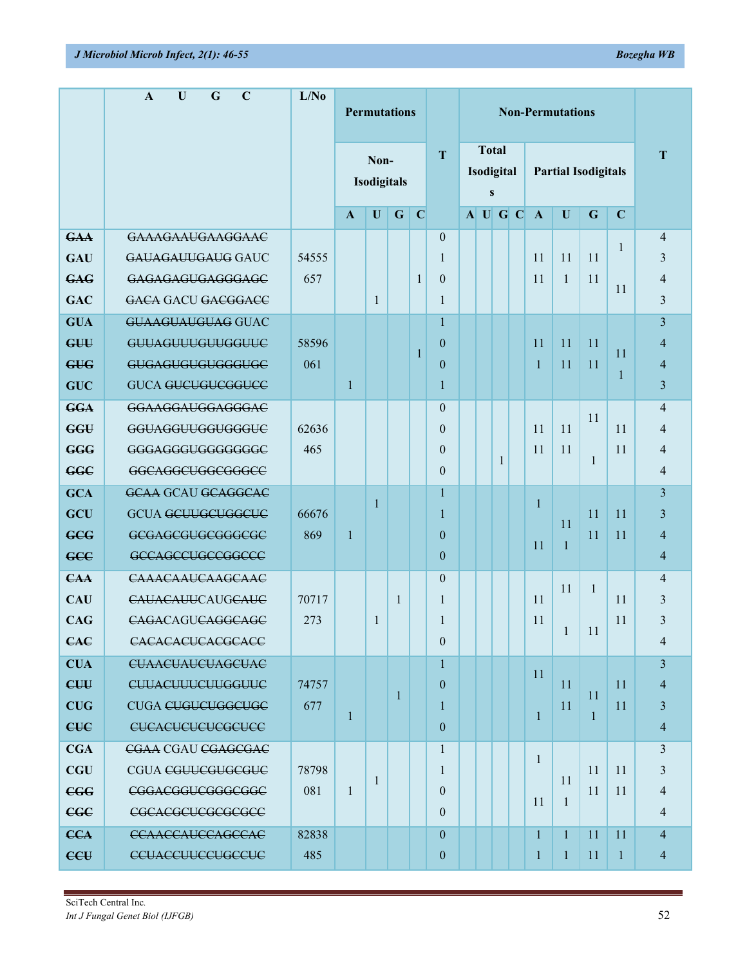|            | $\mathbf G$<br>$\mathbf C$<br>U<br>A | L/No  | <b>Permutations</b> |                     |              |                                         | <b>Non-Permutations</b> |  |           |                            |  |              |              |              |               |                |
|------------|--------------------------------------|-------|---------------------|---------------------|--------------|-----------------------------------------|-------------------------|--|-----------|----------------------------|--|--------------|--------------|--------------|---------------|----------------|
|            |                                      |       |                     | Non-<br>Isodigitals | T            | <b>Total</b><br>Isodigital<br>${\bf S}$ |                         |  |           | <b>Partial Isodigitals</b> |  |              |              | T            |               |                |
|            |                                      |       | $\mathbf{A}$        | U                   | $\mathbf G$  | $\mathbf C$                             |                         |  | $A$ U G C |                            |  | $\mathbf{A}$ | U            | G            | $\mathbf C$   |                |
| <b>GAA</b> | <b>GAAAGAAUGAAGGAAC</b>              |       |                     |                     |              |                                         | $\mathbf{0}$            |  |           |                            |  |              |              |              | 1             | $\overline{4}$ |
| <b>GAU</b> | GAUAGAUUGAUG GAUC                    | 54555 |                     |                     |              |                                         | 1                       |  |           |                            |  | 11           | 11           | 11           |               | 3              |
| <b>GAG</b> | GAGAGAGUGAGGGAGC                     | 657   |                     |                     |              | $\mathbf{1}$                            | $\boldsymbol{0}$        |  |           |                            |  | 11           | 1            | 11           | 11            | $\overline{4}$ |
| <b>GAC</b> | GACA GACU GACGGACC                   |       |                     | 1                   |              |                                         | $\mathbf{1}$            |  |           |                            |  |              |              |              |               | 3              |
| <b>GUA</b> | <b>GUAAGUAUGUAG GUAC</b>             |       |                     |                     |              |                                         | $\mathbf{1}$            |  |           |                            |  |              |              |              |               | $\overline{3}$ |
| GUU        | GUUAGUUUGUUGGUUC                     | 58596 |                     |                     |              | $\mathbf{1}$                            | $\mathbf{0}$            |  |           |                            |  | 11           | 11           | 11           | 11            | $\overline{4}$ |
| <b>GUG</b> | GUGAGUGUGUGGGUGC                     | 061   |                     |                     |              |                                         | $\overline{0}$          |  |           |                            |  | 1            | 11           | 11           | 1             | $\overline{4}$ |
| <b>GUC</b> | <b>GUCA GUCUGUCGGUCC</b>             |       | $\mathbf{1}$        |                     |              |                                         | 1                       |  |           |                            |  |              |              |              |               | 3              |
| <b>GGA</b> | GGAAGGAUGGAGGGAC                     |       |                     |                     |              |                                         | $\overline{0}$          |  |           |                            |  |              |              | 11           |               | $\overline{4}$ |
| <b>GGU</b> | GGUAGGUUGGUGGGUC                     | 62636 |                     |                     |              |                                         | $\overline{0}$          |  |           |                            |  | 11           | 11           |              | 11            | $\overline{4}$ |
| <b>GGG</b> | GGGAGGGUGGGGGGGC                     | 465   |                     |                     |              |                                         | $\overline{0}$          |  |           |                            |  | 11           | 11           |              | 11            | 4              |
| <b>GGC</b> | GGCAGGCUGGCGGGCC                     |       |                     |                     |              |                                         | $\overline{0}$          |  |           | 1                          |  |              |              | 1            |               | $\overline{4}$ |
| <b>GCA</b> | <b>GCAA GCAU GCAGGCAC</b>            |       |                     |                     |              |                                         | $\mathbf{1}$            |  |           |                            |  |              |              |              |               | 3              |
| GCU        | <b>GCUA GCUUGCUGGCUC</b>             | 66676 |                     | 1                   |              |                                         | $\mathbf{1}$            |  |           |                            |  | 1            |              | 11           | 11            | 3              |
| <b>GCG</b> | GCGAGCGUGCGGGCGC                     | 869   | $\mathbf{1}$        |                     |              |                                         | $\overline{0}$          |  |           |                            |  |              | 11           | 11           | 11            | $\overline{4}$ |
| <b>GCC</b> | GCCAGCCUGCCGGCCC                     |       |                     |                     |              |                                         | $\overline{0}$          |  |           |                            |  | 11           | $\mathbf{1}$ |              |               | $\overline{4}$ |
| <b>CAA</b> | <b>CAAACAAUCAAGCAAC</b>              |       |                     |                     |              |                                         | $\overline{0}$          |  |           |                            |  |              |              |              |               | $\overline{4}$ |
| <b>CAU</b> | CAUACAUUCAUGCAUC                     | 70717 |                     |                     | 1            |                                         | 1                       |  |           |                            |  | 11           | 11           | $\mathbf{1}$ | 11            | 3              |
| <b>CAG</b> | CAGACAGUCAGGCAGC                     | 273   |                     | 1                   |              |                                         | 1                       |  |           |                            |  | 11           |              |              | 11            | 3              |
| <b>CAC</b> | CACACACUCACGCACC                     |       |                     |                     |              |                                         | $\overline{0}$          |  |           |                            |  |              | 1            | 11           |               | $\overline{4}$ |
| <b>CUA</b> | <b>CUAACUAUCUAGCUAC</b>              |       |                     |                     |              |                                         | $\mathbf{1}$            |  |           |                            |  |              |              |              |               | $\overline{3}$ |
| CUU        | CUUACUUUCUUGGUUC                     | 74757 |                     |                     |              |                                         | $\overline{0}$          |  |           |                            |  | 11           | 11           |              | 11            | $\overline{4}$ |
| <b>CUG</b> | CUGA CUGUCUGGCUGC                    | 677   |                     |                     | $\mathbf{1}$ |                                         | $\mathbf{1}$            |  |           |                            |  |              | 11           | 11           | <sup>11</sup> | 3              |
| <b>CUC</b> | <b>CUCACUCUCUCGCUCC</b>              |       | 1                   |                     |              |                                         | $\overline{0}$          |  |           |                            |  | 1            |              | 1            |               | $\overline{4}$ |
| <b>CGA</b> | CGAA CGAU CGAGCGAC                   |       |                     |                     |              |                                         | $\mathbf{1}$            |  |           |                            |  |              |              |              |               | 3              |
| <b>CGU</b> | <b>CGUA CGUUCGUGCGUC</b>             | 78798 |                     |                     |              |                                         | 1                       |  |           |                            |  | 1            |              | 11           | 11            | 3              |
| <b>CGG</b> | <del>CGGACGGUCGGGCGGC</del>          | 081   | $\mathbf{1}$        | -1                  |              |                                         | $\theta$                |  |           |                            |  |              | 11           | 11           | 11            | $\overline{4}$ |
| <b>CGC</b> | CGCACGCUCGCGCGCC                     |       |                     |                     |              |                                         | $\Omega$                |  |           |                            |  | 11           | 1            |              |               | $\overline{4}$ |
| <b>CCA</b> | <b>CCAACCAUCCAGCCAC</b>              | 82838 |                     |                     |              |                                         | $\theta$                |  |           |                            |  | 1            | $\mathbf{1}$ | 11           | 11            | $\overline{4}$ |
| CCE        | <b>CCUACCUUCCUGCCUC</b>              | 485   |                     |                     |              |                                         | $\mathbf{0}$            |  |           |                            |  | 1            | 1            | 11           | $\mathbf{1}$  | $\overline{4}$ |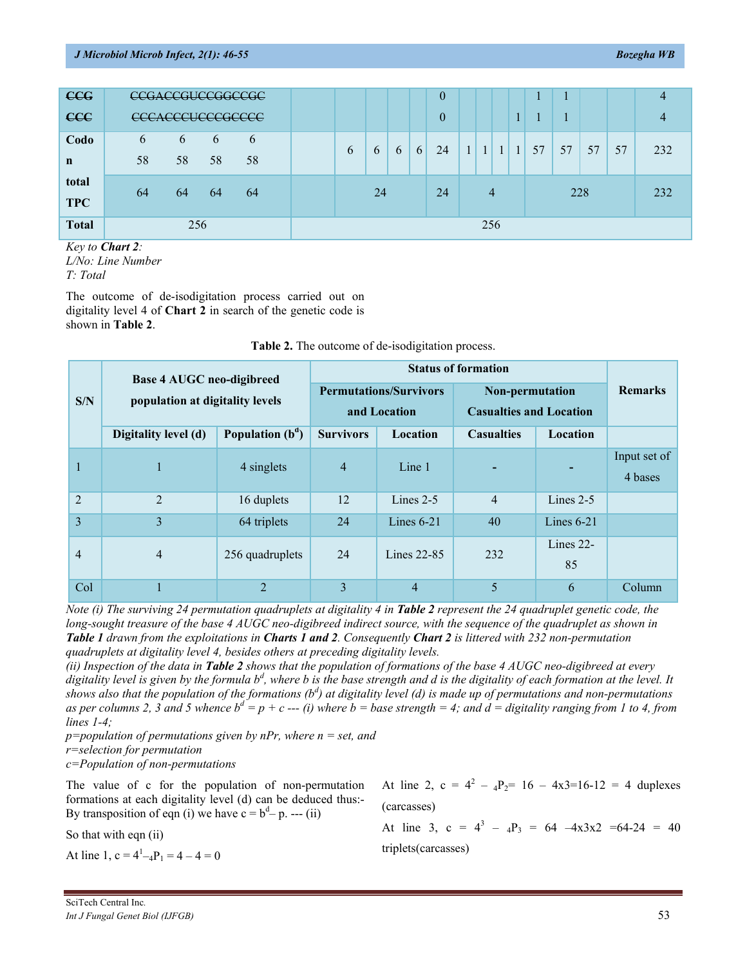| <b>CCG</b>          |         | CCGACCGUCCGGCCGC                                     |         |         |   |          |   |   | $\theta$ |              |                |              |              | ш  |     |    |    |     |
|---------------------|---------|------------------------------------------------------|---------|---------|---|----------|---|---|----------|--------------|----------------|--------------|--------------|----|-----|----|----|-----|
| <b>CCC</b>          |         | CCC A CCCLICCCCCCCC<br>coon <del>oooooooooo</del> oo |         |         |   |          |   |   | $\theta$ |              |                |              |              |    |     |    |    |     |
| Codo<br>$\mathbf n$ | 6<br>58 | 6<br>58                                              | 6<br>58 | 6<br>58 | b | $\sigma$ | 6 | 6 | 24       | $\mathbf{1}$ | $\mathbf{1}$   | $\mathbf{1}$ | $\mathbf{1}$ | 57 | 57  | 57 | 57 | 232 |
| total<br><b>TPC</b> | 64      | 64                                                   | 64      | 64      |   | 24       |   |   | 24       |              | $\overline{4}$ |              |              |    | 228 |    |    | 232 |
| <b>Total</b>        |         |                                                      |         |         |   |          |   |   | 256      |              |                |              |              |    |     |    |    |     |

*Key to Chart 2: L/No: Line Number T: Total*

The outcome of de-isodigitation process carried out on digitality level 4 of **Chart 2** in search of the genetic code is shown in **Table 2**.

|                | <b>Base 4 AUGC neo-digibreed</b> |                    |                  |                                               |                                                   |                    |                         |
|----------------|----------------------------------|--------------------|------------------|-----------------------------------------------|---------------------------------------------------|--------------------|-------------------------|
| S/N            | population at digitality levels  |                    |                  | <b>Permutations/Survivors</b><br>and Location | Non-permutation<br><b>Casualties and Location</b> | <b>Remarks</b>     |                         |
|                | Digitality level (d)             | Population $(b^d)$ | <b>Survivors</b> | Location                                      | <b>Casualties</b>                                 | <b>Location</b>    |                         |
|                | т.                               | 4 singlets         | $\overline{4}$   | Line 1                                        |                                                   |                    | Input set of<br>4 bases |
| 2              | $\overline{2}$                   | 16 duplets         | 12               | Lines $2-5$                                   | 4                                                 | Lines $2-5$        |                         |
| 3              | 3                                | 64 triplets        | 24               | 40<br>Lines $6-21$                            |                                                   | Lines $6-21$       |                         |
| $\overline{4}$ | $\overline{4}$                   | 256 quadruplets    | 24               | Lines 22-85                                   | 232                                               | Lines $22$ -<br>85 |                         |
| Col            |                                  | $\overline{2}$     | 3                | $\overline{4}$                                | 5                                                 | 6                  | Column                  |

|  |  | Table 2. The outcome of de-isodigitation process. |  |  |  |  |  |
|--|--|---------------------------------------------------|--|--|--|--|--|
|--|--|---------------------------------------------------|--|--|--|--|--|

*Note (i) The surviving 24 permutation quadruplets at digitality 4 in Table 2 <i>represent the 24 quadruplet genetic code, the long-sought treasure of the base 4 AUGC neo-digibreed indirect source, with the sequence of the quadruplet as shown in Table 1 drawn from the exploitations in Charts 1 and 2. Consequently Chart 2 is littered with 232 non-permutation quadruplets at digitality level 4, besides others at preceding digitality levels.*

*(ii) Inspection of the data in Table 2 shows that the population of formations of the base 4 AUGC neo-digibreed at every digitality level is given by the formula b<sup>d</sup> , where b is the base strength and d is the digitality of each formation at the level. It shows also that the population of the formations (b<sup>d</sup> ) at digitality level (d) is made up of permutations and non-permutations* as per columns 2, 3 and 5 whence  $b^d = p + c$  --- *(i)* where  $b = base$  strength = 4; and  $d =$  digitality ranging from 1 to 4, from *lines 1-4;*

*p=population of permutations given by nPr, where n = set, and*

*r=selection for permutation*

*c=Population of non-permutations*

The value of c for the population of non-permutation formations at each digitality level (d) can be deduced thus:- By transposition of eqn (i) we have  $c = b^d - p$ . --- (ii)

So that with eqn (ii)

At line 1,  $c = 4<sup>1</sup>-4P<sub>1</sub> = 4 - 4 = 0$ 

At line 2,  $c = 4^2 - 4P_2 = 16 - 4x3 = 16 - 12 = 4$  duplexes (carcasses)

At line 3, c =  $4^3$  –  $_4P_3$  = 64 –4x3x2 =64-24 = 40 triplets(carcasses)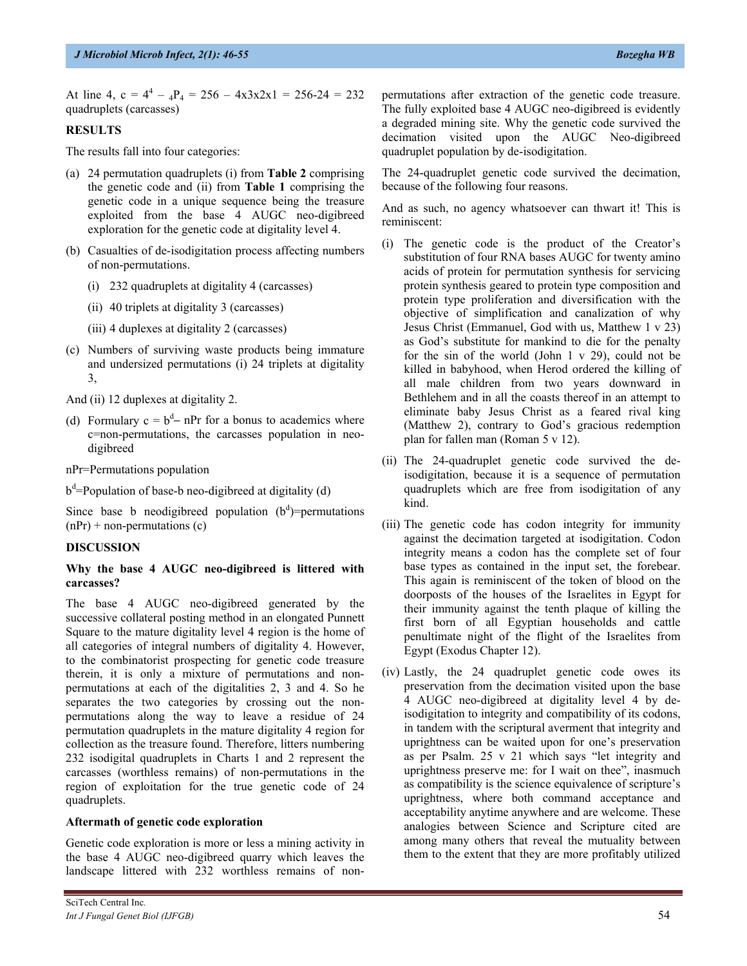At line 4,  $c = 4^4 - 4P_4 = 256 - 4x3x2x1 = 256-24 = 232$ quadruplets (carcasses)

## **RESULTS**

The results fall into four categories:

- (a) 24 permutation quadruplets (i) from **Table 2** comprising the genetic code and (ii) from **Table 1** comprising the genetic code in a unique sequence being the treasure exploited from the base 4 AUGC neo-digibreed exploration for the genetic code at digitality level 4.
- (b) Casualties of de-isodigitation process affecting numbers of non-permutations.
	- (i) 232 quadruplets at digitality 4 (carcasses)
	- (ii) 40 triplets at digitality 3 (carcasses)
	- (iii) 4 duplexes at digitality 2 (carcasses)
- (c) Numbers of surviving waste products being immature and undersized permutations (i) 24 triplets at digitality 3,

And (ii) 12 duplexes at digitality 2.

(d) Formulary  $c = b^d - nPr$  for a bonus to academics where c=non-permutations, the carcasses population in neodigibreed

nPr=Permutations population

 $b^d$ =Population of base-b neo-digibreed at digitality (d)

Since base b neodigibreed population  $(b<sup>d</sup>)$ =permutations  $(nPr)$  + non-permutations (c)

#### **DISCUSSION**

#### **Why the base 4 AUGC neo-digibreed is littered with carcasses?**

The base 4 AUGC neo-digibreed generated by the successive collateral posting method in an elongated Punnett Square to the mature digitality level 4 region is the home of all categories of integral numbers of digitality 4. However, to the combinatorist prospecting for genetic code treasure therein, it is only a mixture of permutations and nonpermutations at each of the digitalities 2, 3 and 4. So he separates the two categories by crossing out the nonpermutations along the way to leave a residue of 24 permutation quadruplets in the mature digitality 4 region for collection as the treasure found. Therefore, litters numbering 232 isodigital quadruplets in Charts 1 and 2 represent the carcasses (worthless remains) of non-permutations in the region of exploitation for the true genetic code of 24 quadruplets.

## **Aftermath of genetic code exploration**

Genetic code exploration is more or less a mining activity in the base 4 AUGC neo-digibreed quarry which leaves the landscape littered with 232 worthless remains of nonpermutations after extraction of the genetic code treasure. The fully exploited base 4 AUGC neo-digibreed is evidently a degraded mining site. Why the genetic code survived the decimation visited upon the AUGC Neo-digibreed quadruplet population by de-isodigitation.

The 24-quadruplet genetic code survived the decimation, because of the following four reasons.

And as such, no agency whatsoever can thwart it! This is reminiscent:

- (i) The genetic code is the product of the Creator's substitution of four RNA bases AUGC for twenty amino acids of protein for permutation synthesis for servicing protein synthesis geared to protein type composition and protein type proliferation and diversification with the objective of simplification and canalization of why Jesus Christ (Emmanuel, God with us, Matthew 1 v 23) as God's substitute for mankind to die for the penalty for the sin of the world (John 1 v 29), could not be killed in babyhood, when Herod ordered the killing of all male children from two years downward in Bethlehem and in all the coasts thereof in an attempt to eliminate baby Jesus Christ as a feared rival king (Matthew 2), contrary to God's gracious redemption plan for fallen man (Roman 5 v 12).
- (ii) The 24-quadruplet genetic code survived the deisodigitation, because it is a sequence of permutation quadruplets which are free from isodigitation of any kind.
- (iii) The genetic code has codon integrity for immunity against the decimation targeted at isodigitation. Codon integrity means a codon has the complete set of four base types as contained in the input set, the forebear. This again is reminiscent of the token of blood on the doorposts of the houses of the Israelites in Egypt for their immunity against the tenth plaque of killing the first born of all Egyptian households and cattle penultimate night of the flight of the Israelites from Egypt (Exodus Chapter 12).
- (iv) Lastly, the 24 quadruplet genetic code owes its preservation from the decimation visited upon the base 4 AUGC neo-digibreed at digitality level 4 by deisodigitation to integrity and compatibility of its codons, in tandem with the scriptural averment that integrity and uprightness can be waited upon for one's preservation as per Psalm. 25 v 21 which says "let integrity and uprightness preserve me: for I wait on thee", inasmuch as compatibility is the science equivalence of scripture's uprightness, where both command acceptance and acceptability anytime anywhere and are welcome. These analogies between Science and Scripture cited are among many others that reveal the mutuality between them to the extent that they are more profitably utilized